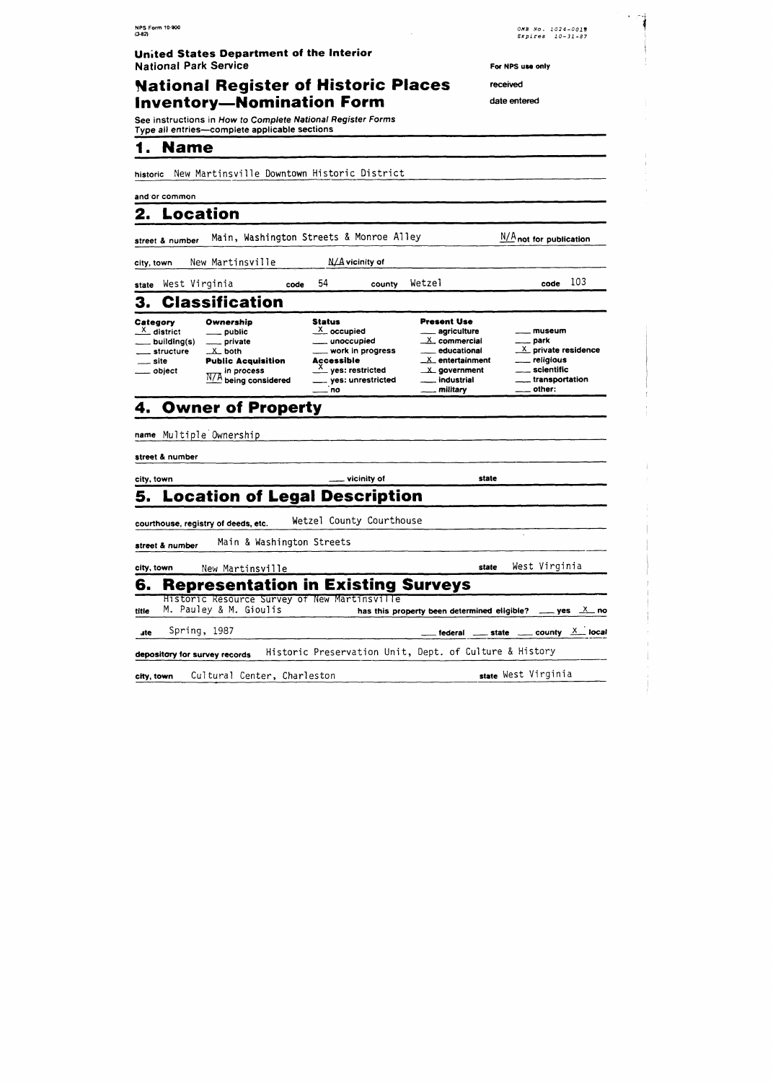## **National Register of Historic Places inventory-Nomination Form** date entered

See instructions in How to Complete National Register Forms Type all entries-complete applicable sections **I. Name** 

historic New Martinsville Downtown Historic District

#### and or common

## **2. Location**

|                                    | street & number | Main, Washington Streets & Monroe Alley  |      |                                                            |                               |                                                          | $N/A$ not for publication    |     |
|------------------------------------|-----------------|------------------------------------------|------|------------------------------------------------------------|-------------------------------|----------------------------------------------------------|------------------------------|-----|
| city, town                         |                 | New Martinsville                         |      |                                                            | $\Lambda/\Lambda$ vicinity of |                                                          |                              |     |
|                                    |                 | state West Virginia                      | code | 54                                                         | county                        | Wetzel                                                   | code                         | 103 |
|                                    |                 | 3. Classification                        |      |                                                            |                               |                                                          |                              |     |
| Category<br>$\frac{X}{X}$ district | building(s)     | Ownership<br>___ public<br>_____ private |      | <b>Status</b><br>$\frac{X}{X}$ occupied<br>____ unoccupied |                               | <b>Present Use</b><br>____ agriculture<br>$X$ commercial | museum<br><sub>——</sub> park |     |

#### **Category Ownership**

#### - building(s) - private - structure *<sup>2</sup>*both - site **Public Acquisition**  - object in process being considered \_<sup>X</sup>\_ occupied<br>\_\_\_ unoccupied **Status<br>Andrew Manufalm**<br>Andrew Work in progression Status<br>
<u>X</u>\_ occupied<br>
\_\_\_ unoccupied<br>
\_\_\_ work in progress<br>**Accessible Accessible**  <u>X</u>\_ occupied<br>
\_\_\_ unoccupied<br>
\_\_\_ work in progres<br> **Accessible**<br>
\_\_ yes: restricted<br>
\_\_ yes: unrestricte - yes: unrestricted - no **Present Use**<br>
<u>- agriculture</u><br>
<u>X</u> commercial - park<br>
- educational X privating - educational <sup>2</sup>private residence <sup>X</sup>entertainment - religious **<sup>L</sup>**government - scientific  $X$  commercial  $X$  educational  $X$  private residen<br>  $X$  entertainment  $X$  government  $X$  scientific<br>  $\ldots$  industrial  $\ldots$  scientific<br>  $\ldots$  military  $\ldots$  other: educational X private<br>
X entertainment — religiou<br>
X government — scienti<br>
industrial — transport — transport — transport — transport — transport — transport — transport — there is a set of the set of the set of the set of

## **4. Owner of Property**

| name Multiple Ownership             |                                                        |       |                                                                      |
|-------------------------------------|--------------------------------------------------------|-------|----------------------------------------------------------------------|
| street & number                     |                                                        |       |                                                                      |
| city, town                          | <u>_</u> ___ vicinity of                               | state |                                                                      |
|                                     | 5. Location of Legal Description                       |       |                                                                      |
| courthouse, registry of deeds, etc. | Wetzel County Courthouse                               |       |                                                                      |
| street & number                     | Main & Washington Streets                              |       |                                                                      |
| city, town<br>New Martinsville      |                                                        | state | West Virginia                                                        |
| 6.                                  | <b>Representation in Existing Surveys</b>              |       |                                                                      |
|                                     | Historic Resource Survey of New Martinsville           |       |                                                                      |
| M. Pauley & M. Gioulis<br>title     |                                                        |       | has this property been determined eligible? $\_\_\_$ yes $\_\_\_$ no |
| Spring, 1987<br>ate                 |                                                        |       | federal _____ state _____ county $\frac{X}{X}$ local                 |
| depository for survey records       | Historic Preservation Unit, Dept. of Culture & History |       |                                                                      |

city, town Cultural Center, Charleston state West Virginia

**For NPS use only** 

received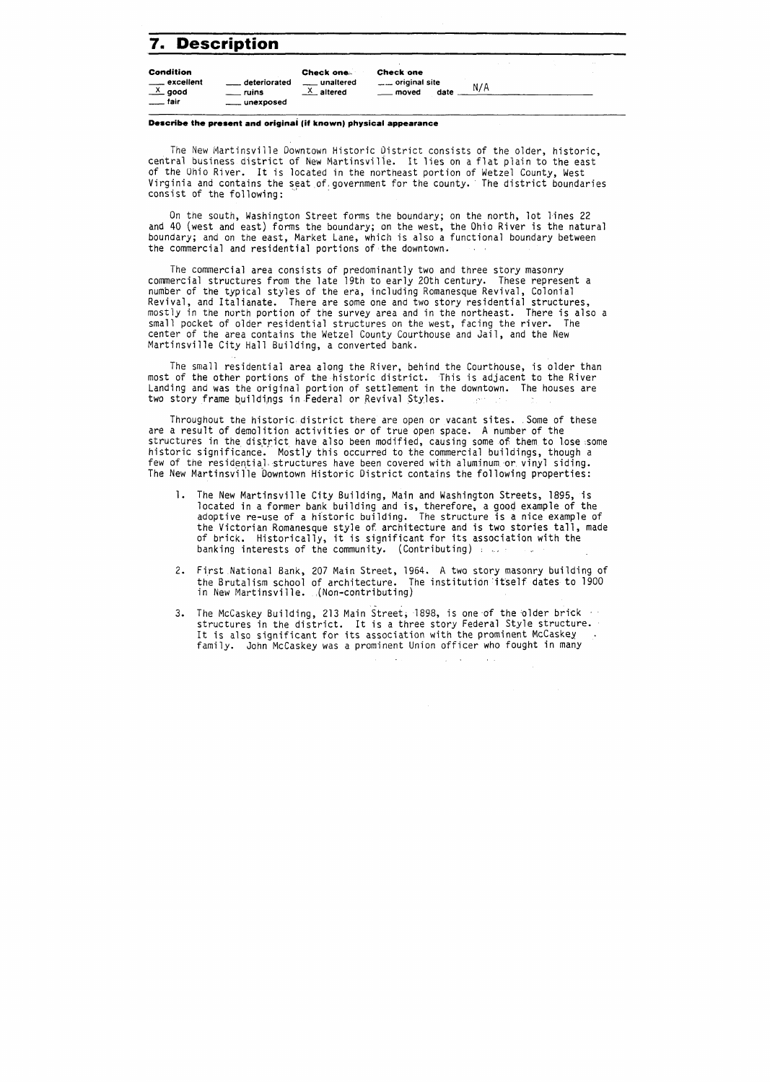## **7. Description**

| 7. Description                                                            |                                                     |                                                      |                                                           |     |          |
|---------------------------------------------------------------------------|-----------------------------------------------------|------------------------------------------------------|-----------------------------------------------------------|-----|----------|
| <b>Condition</b><br>____ excellent<br>$\frac{X}{2}$ good<br>$\equiv$ tair | deteriorated<br><u>_</u> __ ruins<br>____ unexposed | Check one.<br>___ unaltered<br>$\frac{X}{X}$ altered | <b>Check one</b><br>___ original site<br>__ moved<br>date | N/A | $\cdots$ |

#### **Describe the present and originai (if known) physical appearance**

The New Martinsville Downtown Historic District consists of the older, historic, central business district of New Martinsville. It lies on a flat plain to the east of the Ohio River. It is located in the northeast portion of Wetzel County, West Virginia and contains the seat of government for the county. The district boundaries consist of the following:

On tne south, Washington Street forms the boundary; on the north, lot lines 22 and 40 (west and east) forms the boundary; on the west, the Ohio River is the natural boundary; and on the east, Market Lane, which is also a functional boundary between the commercial and residential portions of the downtown.

The commercial area consists of predominantly two and three story masonry commercial structures from the late 19th to early 20th century. These represent a number of the typical styles of the era, including Romanesque Revival, Colonial Revival, and Italianate. There are some one and two story residential structures, mostly in the north portion of the survey area and in the northeast. There is also a small pocket of older residential structures on the west, facing the river. The center of the area contains the Wetzel County Courthouse and Jail, and the New Martinsville City Hall Building, a converted bank.

The small residential area along the River, behind the Courthouse, is older than most of the other portions of the historic district. This is adjacent to the River Landing and was the original portion of settlement in the downtown. The houses are two story frame buildings in Federal or Revival Styles. santi const

Throughout the historic district there are open or vacant sites. Some of these are a result of demolition activities or of true open space. A number of the structures in the district have also been modified, causing some of them to lose some historic significance. Mostly this occurred to the commercial buildings, though a few of the residential structures have been covered with aluminum or vinyl siding. The New Martinsville Downtown Historic District contains the following properties:

- 1. The New Martinsvil le City Building, Main and Washington Streets, 1895, is located in a former bank building and is, therefore, a good example of the adoptive re-use of a historic building. The structure is a nice example of the Victorian Romanesque style of architecture and is two stories tall, made of brick. Historically, it is significant for its association with the banking interests of the community. (Contributing) . ..,
- 2. First National Bank, 207 Main Street, 1964. A two story masonry building of the Brutalism school of architecture. The institution itself dates to 1900 in New Martinsville. (Non-contributing)
- 3. The McCaskey Building, 213 Main Street, 1898, is one of the older brick of structures in the district. It is a three story Federal Style structure. It is also significant for its association with the prominent McCaskey<br>family. John McCaskey was a prominent Union officer who fought in many

 $\sim$ 

 $\sim 10^7$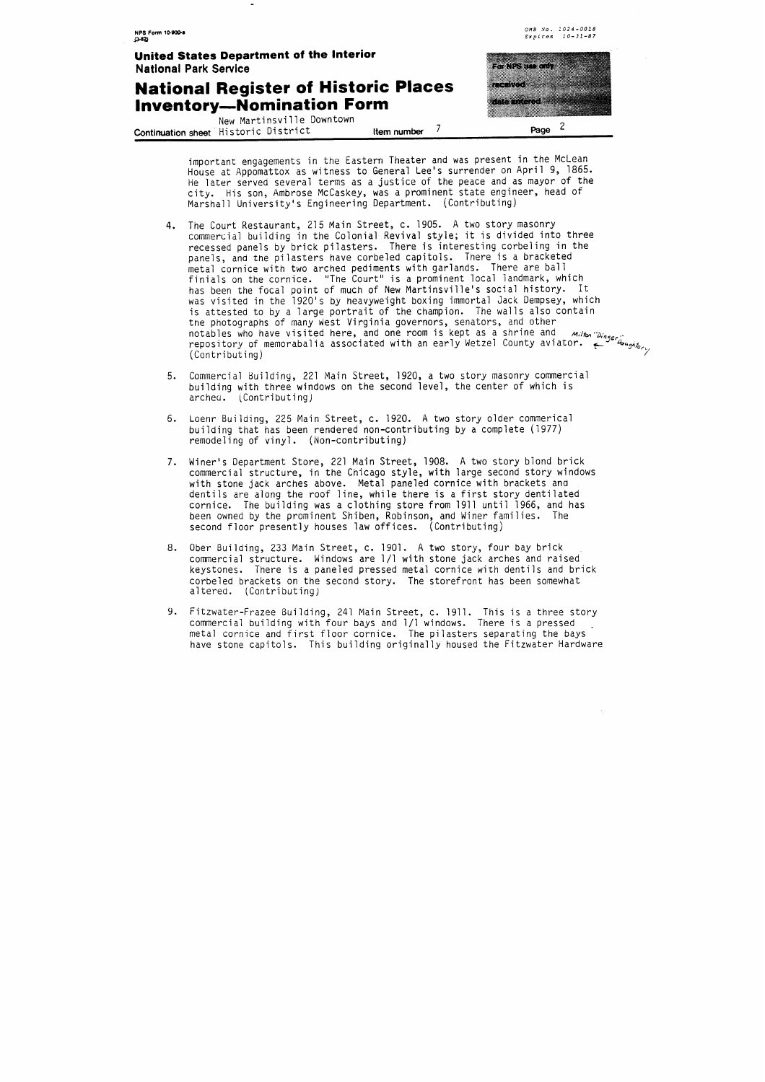## **National Register of Historic Places Inventory-Nomination Form**

New Martinsville Downtown **Continuation sheet** Historic District Demission **Item number** 7 Page 2



important engagements in the Eastern Theater and was present in the McLean House at Appomattox as witness to General Lee's surrender on April 9, 1865. He later served several terms as a justice of the peace and as mayor of the city. His son, Ambrose McCaskey, was a prominent state engineer, head of Marshall University's Engineering Department. (Contributing)

- 4. The Court Restaurant, 215 Main Street, c. 1905. A two story masonry commercial building in the Colonial Revival style; it is divided into three recessed panels by brick pilasters. There is interesting corbeling in the panels, and the pilasters have corbeled capitols. There is a bracketed metal cornice with two arched pediments with garlands. There are ball finials on the cornice. "The Court" is a prominent local landmark, which has been the focal point of much of New Martinsville's social history. It as visited in the 1920's by heavyweight boxing immortal Jack Dempsey, which s attested to by a large portrait of the champion. The walls also contain ne photographs of many west Virginia governors, senators, and other<br>otables who have visited here, and one room is kept as a shrine and *milton Dinger in*<br>epository of memorabalia associated with an early Wetzel County avi
- 5. Commercial Building, 221 Main Street, 1920, a two story masonry commercial building with three windows on the second level, the center of which is archea. (Contributing)
- 6. Loenr Building, 225 Main Street, c. 1920. A two story older commerical building that has been rendered non-contributing by a complete (1977) remodeling of vinyl. (Non-contributing)
- 7. Miner's Department Store, 221 Main Street, 1908. A two story blond brick commercial structure, in the Chicago style, with large second story windows with stone jack arches above. Metal paneled cornice with brackets ana dentils are along the roof line, while there is a first story dentilated cornice. The building was a clothing store from 1911 until 1966, and has been owned by the prominent Shiben, Robinson, and Winer families. The second floor presently houses law offices. (Contributing)
- 8. Ober Building, 233 Main Street, c. 1901. A two story, four bay brick commercial structure. Windows are 1/1 with stone jack arches and raised keystones. There is a paneled pressed metal cornice with dentils and brick corbeled brackets on the second story. The storefront has been somewhat altered. (Contributing)
- 9. Fitzwater-Frazee Building, 241 Main Street, c. 1911. This is a three story commercial building with four bays and 1/1 windows. There is a pressed metal cornice and first floor cornice. The pilasters separating the bays have stone capitols. This building originally housed the Fitzwater Hardware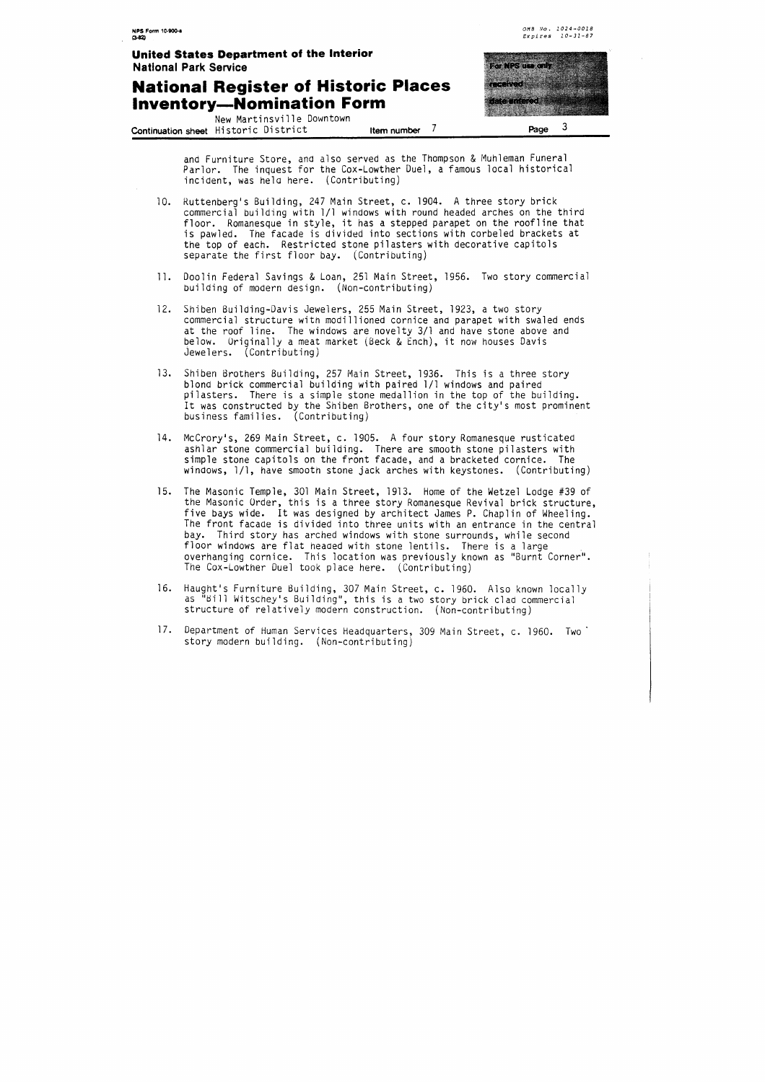## **National Register of Historic Places Inventory-Nomination Form**

**OHB ,YO. 1024-0018 Expires 10-31-87** 

New Martinsville Downtown **Continuation sheet** Historic District **Item number** 7 **Page** <sup>3</sup>



and Furniture Store, ana also served as the Thompson & Muhleman Funeral Parlor. The inquest for the Cox-Lowther Duel, a famous local historical incident, was hela here. (Contributing)

- $10.$ Kuttenberg's Building, 247 Main Street, c. 1904. A three story brick commercial building with 1/1 windows with round headed arches on the third floor. Romanesque in style, it has a stepped parapet on the roofline that is pawled. The facade is divided into sections with corbeled brackets at the top of each. Restricted stone pilasters with decorative capitols separate the first floor bay. (Contributing)
- 11. Doolin Federal Savings & Loan, 251 Main Street, 1956. Two story commercial building of modern design. (Non-contributing)
- 12. Shiben Building-Davis Jewelers, 255 Main Street, 1923, a two story commercial structure with modillioned cornice and parapet with swaled ends at the roof line. The windows are novelty 3/1 and have stone above and below. Original ly a meat market (Beck & Ench), it now houses Davis Jewelers. (Contributing)
- 13. Shiben Brothers Building, 257 Main Street, 1936. This is a three story blond brick commercial building with paired 111 windows and paired pilasters. There is a simple stone medallion in the top of the building. It was constructed by the Shiben Brothers, one of the city's most prominent business families. (Contributing)
- 14. McCrory's, 269 Main Street, c. 1905. A four story Romanesque rusticated ashlar stone commercial building. There are smooth stone pilasters with simple stone capitols on the front facade, and a bracketed cornice. The windows, 111, have smooth stone jack arches with keystones. (Contributing)
- The Masonic Temple, 301 Main Street, 1913. Home of the Wetzel Lodge #39 of  $15.$ the Masonic Order, this is a three story Romanesque Revival brick structure, five bays wide. It was designed by architect James P. Chaplin of Wheeling. The front facade is divided into three units with an entrance in the central bay. Third story has arched windows with stone surrounds, while second floor windows are flat heaaed with stone lentils. There is a large overhanging cornice. This location was previously known as "Burnt Corner". The Cox-Lowther Duel took place here. (Contributing)
- Haught's Furniture Building, 307 Main Street, c. 1960. Also known locally  $16.$ as "Bill Witschey's Building", this is a two story brick clad commercial structure of relatively modern construction. (Non-contributing)
- 17. Department of Human Services Headquarters, 309 Main Street, c. 1960. Two' story modern building. (Non-contributing)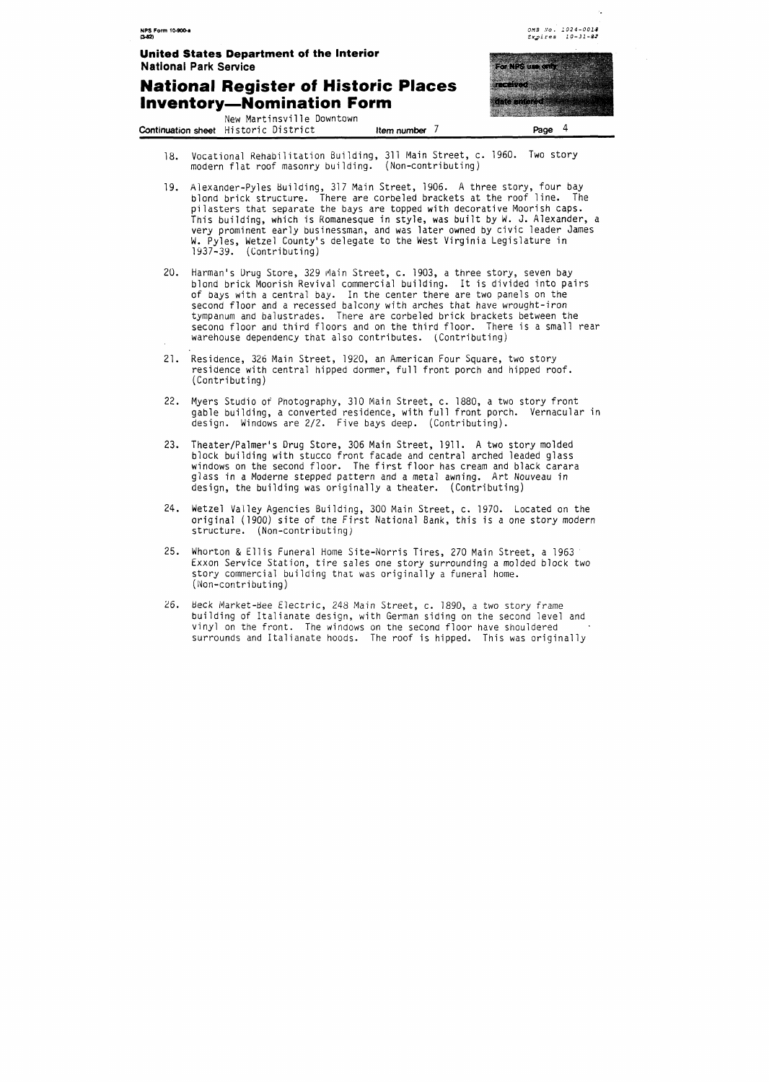#### **National Register of Historic Places inventory-Nomination Form**

New Martinsville Downtown **Continuation sheet** Historic District **Item number** <sup>7</sup>



**ONE .YO. 1024-0013 Expires i0-31-87** 

- 18. Vocational Rehabilitation Building, 311 Main Street, c. 1960. Two story modern flat roof masonry building. (Non-contributing)
- 19. Alexander-Pyles Building, 317 Main Street, 1906. A three story, four bay blond brick structure. There are corbeled brackets at the roof line. The pilasters that separate the bays are topped with decorative Moorish caps. This building, which is Komanesque in style, was built by W. J. Alexander, a very prominent early businessman, and was later owned by civic leader James **W.** Pyles, Wetzel County's delegate to the West Virginia Legislature in 1937-39. (Contributing)
- 20. Harman's Drug Store, 329 Main Street, c. 1903, a three story, seven bay blond brick Moorish Revival commercial building. It is divided into pairs of bays with a central bay. In the center there are two panels on the second floor and a recessed balcony with arches that have wrought-iron tympanum and balustrades. There are corbeled brick brackets between the second floor and third floors and on the third floor. There is a small rear warehouse dependency that also contributes. (Contributing)
- 21. Residence, 326 Main Street, 1920, an American Four Square, two story residence with central hipped dormer, full front porch and hipped roof. (Contributing)
- 22. Myers Studio of Pnotography, 310 Main Street, c. 1880, a two story front gable building, a converted residence, with full front porch. Vernacular in design. Windows are 2/2. Five bays deep. (Contributing).
- 23. Theater/Palmer's Drug Store, 306 Main Street, 1911. A two story molded block building with stucco front facade and central arched leaded glass windows on the second floor. The first floor has cream and black carara glass in a Moderne stepped pattern and a metal awning. Art Nouveau in design, the building was originally a theater. (Contributing)
- 24. Wetzel Valley Agencies Building, 300 Main Street, c. 1970. Located on the original (1900) site of the First National Bank, this is a one story modern structure. (Non-contributing)
- 25. Whorton & Ellis Funeral Home Site-Norris Tires, 270 Main Street, a 1963 Exxon Service Station, tire sales one story surrounding a molded block two story commercial building that was originally a funeral home. (Non-contributing)
- 26. Beck Market-Bee Electric, 248 Main Street, c. 1890, a two story frame building of Italianate design, with German siding on the second level and vinyl on the front. The windows on the second floor have shouldered surrounds and Italianate hoods. The roof is hipped. This was originally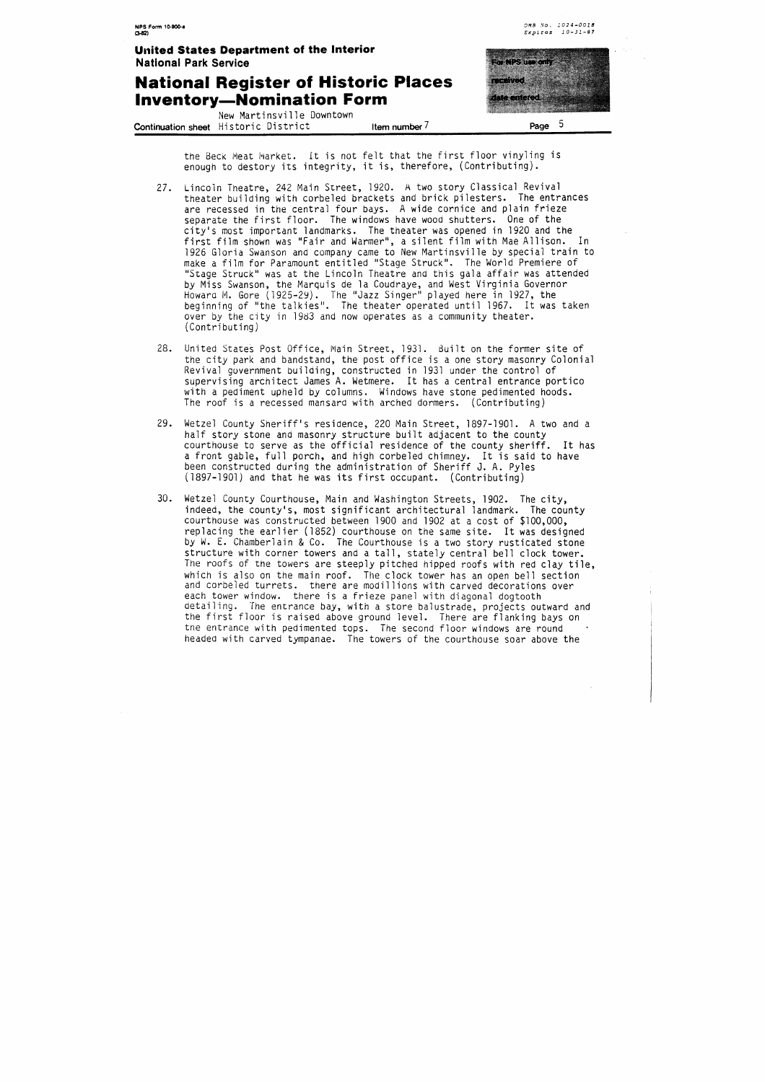#### **National Register of Historic Inventory-Nomination Form**

New Martinsville Downtown **Continuation sheet** Historic District **Item number 7 Page 5** 



**oHB No. 1024-0018** 

the Beck Meat Market. It is not felt that the first floor vinyling is enough to destory its integrity, it is, therefore, (Contributing).

- 27. Lincoln Theatre, 242 Main Street, 1920. A two story Classical Revival theater building with corbeled brackets and brick pilesters. The entrances are recessed in the central four bays. A wide cornice and plain frieze separate the first floor. The windows have wood shutters. One of the city's most important landmarks. The theater was opened in 1920 and the first film shown was "Fair and Warmer", a silent film with Mae Allison. In 1926 Gloria Swanson and company came to New Martinsville by special train to make a film for Paramount entitled "Stage Struck". The World Premiere of "Stage Struck" was at the Lincoln Theatre and this gala affair was attended by Miss Swanson, the Marquis de la Coudraye, and West Virginia Governor Howara M. Gore (1925-29). The "Jazz Singer" played here in 1927, the beginning of "the talkies". The theater operated until 1967. It was taken over by the city in 1983 and now operates as a community theater. (Contributing)
- 28. United States Post Office, Main Street, 1931. Built on the former site of the city park and bandstand, the post office is a one story masonry Colonial Revival government builaing, constructed in 1931 under the control of supervising architect James A. Wetmere. It has a central entrance portico with a pediment upheld by columns. Windows have stone pedimented hoods. The roof is a recessed mansard with arched dormers. (Contributing)
- 29. Wetzel County Sheriff's residence, 220 Main Street, 1897-1901. A two and a half story stone and masonry structure built adjacent to the county courthouse to serve as the official residence of the county sheriff. It has a front gable, full porch, and high corbeled chimney. It is said to have been constructed during the administration of Sheriff J. A. Pyles (1897-1901) and that he was its first occupant. (Contributing)
- $30.$ Wetzel County Courthouse, Main and Washington Streets, 1902. The city, indeed, the county's, most significant architectural landmark. The county courthouse was constructed between 1900 and 1902 at a cost of \$100,000, replacing the earlier (1852) courthouse on the same site. It was designed by W. E. Chamberlain & Co. The Courthouse is a two story rusticated stone structure with corner towers and a tall, stately central bell clock tower. The roofs of the towers are steeply pitched hipped roofs with red clay tile, which is also on the main roof. The clock tower has an open bell section and corbeled turrets. there are modillions with carved decorations over each tower window. there is a frieze panel with diagonal dogtooth detailing. The entrance bay, with a store balustrade, projects outward and the first floor is raised above ground level. There are flanking bays on the entrance with pedimented tops. The second floor windows are round headed with carved tympanae. The towers of the courthouse soar above the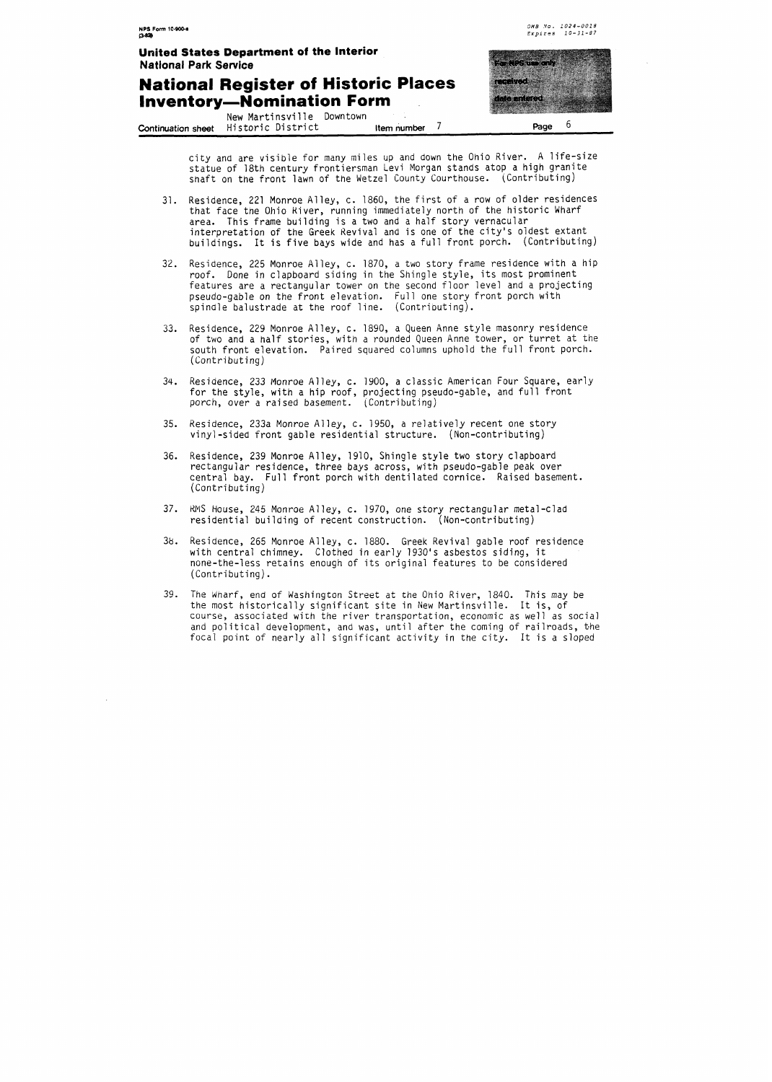#### **National Register of Historic Places Inventory-Nomination Form** .

New Martinsville Downtown **Continuation sheet** Historic District **Item number 7 Page 6** 

![](_page_6_Picture_4.jpeg)

**OMB .Yo. 1024-0018**  *Explres* **10-31-87** 

city and are visible for many miles up and down the Ohio River. A life-size statue of 18th century frontiersman Levi Morgan stands atop a high granite shaft on the front lawn of the Wetzel County Courthouse. (Contributing)

- Residence, 221 Monroe Alley, c. 1860, the first of a row of older residences  $31.$ that face tne Ohio Kiver, running immediately north of the historic Wharf area. This frame building is a two and a half story vernacular interpretation of the Greek Revival and is one of the city's oldest extant buildings. It is five bays wide and has a full front porch. (Contributing)
- 32. Residence, 225 Monroe Alley, c. 1870, a two story frame residence with a hip roof. Done in clapboard siding in the Shingle style, its most prominent features are a rectangular tower on the second floor level and a projecting pseudo-gable on the front elevation. Full one story front porch with pindle balustrade at the roof line. (Contributing).
- $33.$ Residence, 229 Monroe Alley, c. 1890, a Queen Anne style masonry residence of two and a half stories, with a rounded Queen Anne tower, or turret at the south front elevation. Paired squared columns uphold the full front porch. (Contributing)
- 34. Residence, 233 Monroe Alley, c. 1900, a classic American Four Square, early for the style, with a hip roof, projecting pseudo-gable, and full front porch, over a raised basement. (Contributing)
- 35. Residence, 233a Monroe Alley, c. 1950, a relatively recent one story vinyl-sided front gable residential structure. (Non-contributing)
- Residence, 239 Monroe Alley, 1910, Shingle style two story clapboard  $36.$ rectangular residence, three bays across, with pseudo-gable peak over central bay. Full front porch with dentilated cornice. Raised basement. (Contributing)
- 37. RMS House, 245 Monroe Alley, c. 1970, one story rectangular metal-clad residential building of recent construction. (Non-contributing)
- 38. Residence, 265 Monroe Alley, c. 1880. Greek Revival gable roof residence with central chimney. Clothed in early 1930's asbestos siding, it none-the-less retains enough of its original features to be considered (Contributing).
- $39.$ The Wharf, end of Washington Street at the Ohio River, 1840. This may be the most historically significant site in New Martinsville. It is, of course, associated with the river transportation, economic as well as social and political development, and was, until after the coming of railroads, the focal point of nearly all significant activity in the city. It is a sloped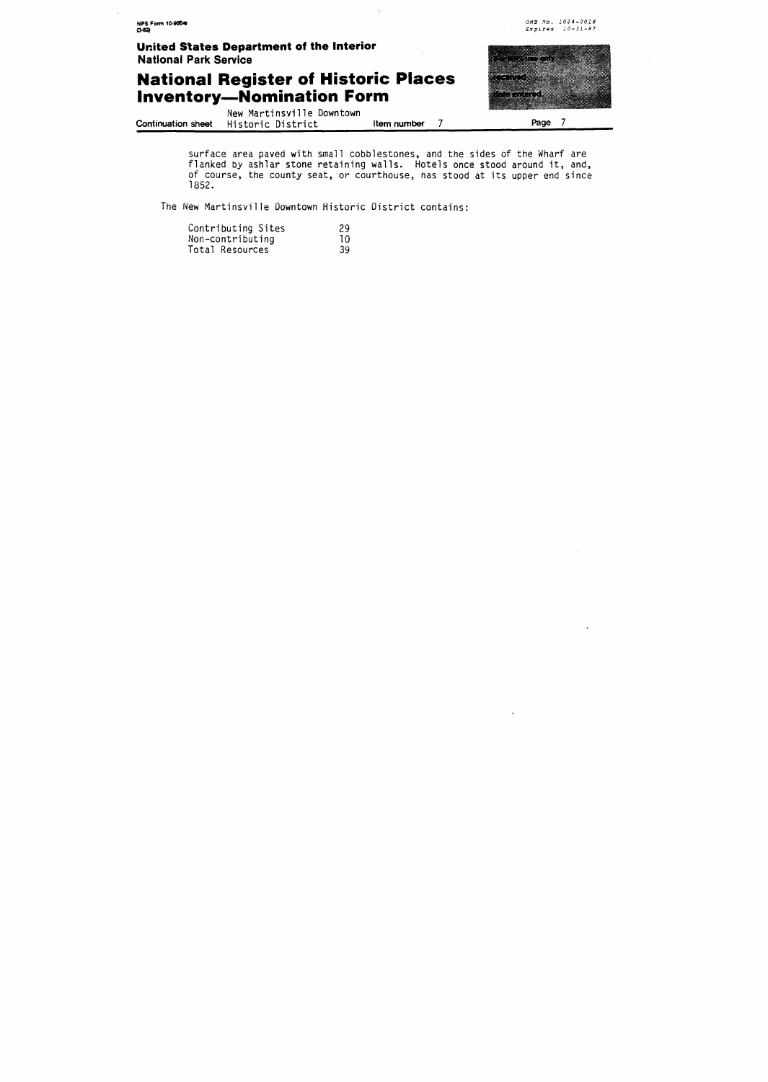surface area paved with small cobblestones, and the sides of the Wharf are flanked by ashlar stone retaining walls. Hotels once stood around it, and, of course, the county seat, or courthouse, has stood at its upper end since

The New Martinsville Downtown Historic District contains:

| Contributing Sites | -29 |
|--------------------|-----|
| Non-contributing   | 10  |
| Total Resources    | 39  |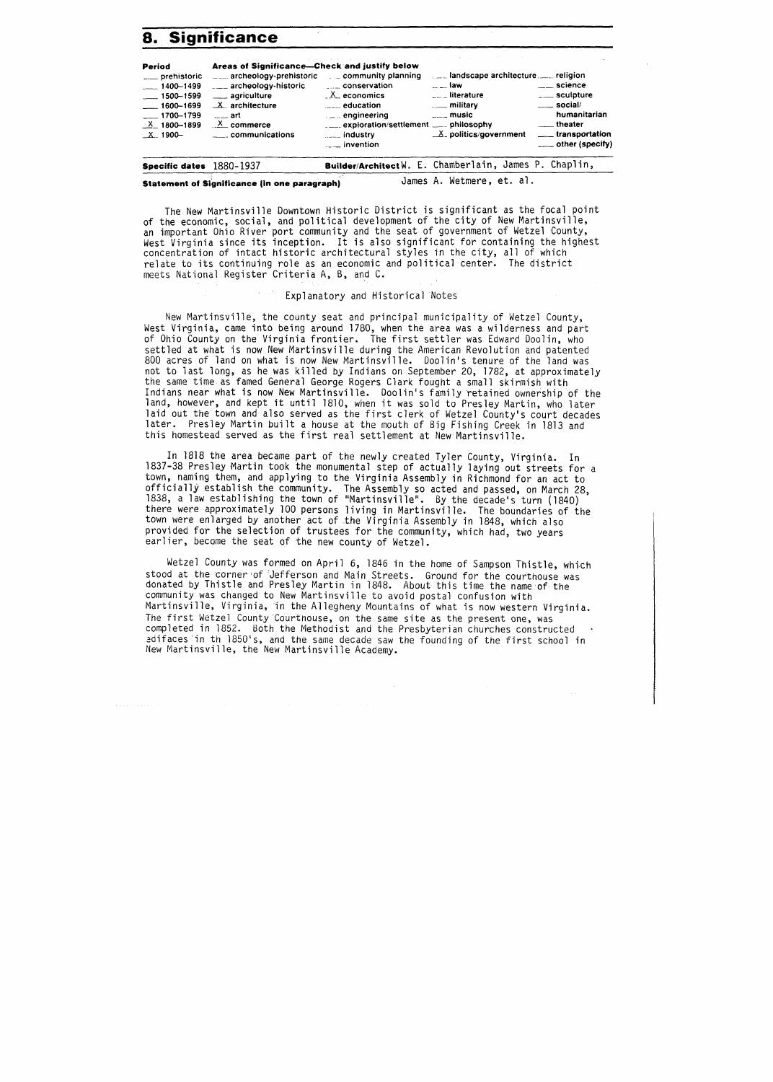## **8. Significance**

| Period<br>__ prehistoric<br>$-1400 - 1499$<br>$-1500 - 1599$<br>$- 1600 - 1699$<br>$-1700 - 1799$<br>$X_1800 - 1899$ | Areas of Significance-Check and justify below<br>archeology-prehistoric [11] community planning<br>____ agriculture<br>$X$ architecture<br>$---$ art<br>$X_{\text{c}}$ commerce<br>$\sim$ communications | <b>Example 20 Conservation</b><br>$Xm$ economics<br>$\frac{1}{2}$ education<br>$\mathbb{Z}$ engineering<br>$\frac{1}{2}$ industry<br>$\frac{1}{2}$ invention | $\sim$ law<br>$\Gamma$ <sub><math>\sim</math></sub> literature<br><u>_</u> ___ military<br>$\overline{\phantom{a}}$ music<br>$X$ politics/government | <u>_</u> ___ science<br>____ sculpture<br>$\rule{1em}{0.15mm}$ social/<br>humanitarian<br><u>__</u> theater<br>____ transportation<br>$\equiv$ other (specify) |
|----------------------------------------------------------------------------------------------------------------------|----------------------------------------------------------------------------------------------------------------------------------------------------------------------------------------------------------|--------------------------------------------------------------------------------------------------------------------------------------------------------------|------------------------------------------------------------------------------------------------------------------------------------------------------|----------------------------------------------------------------------------------------------------------------------------------------------------------------|
| <b>Specific dates</b> $1880 - 1937$                                                                                  |                                                                                                                                                                                                          | Builder/ArchitectW. E. Chamberlain, James P. Chaplin,                                                                                                        |                                                                                                                                                      |                                                                                                                                                                |

**Statement of Significance (in one paragraph)** James A. Wetmere, et. al.

The New Martinsville Downtown Historic District is significant as the focal point of the economic, social, and political development of the city of New Martinsville, an important Ohio River port community and the seat of government of Wetzel County, West Virginia since its inception. It is also significant for containing the highest concentration of intact historic architectural styles in the city, all of which relate to its continuing role as an economic and political center. The district meets National Register Criteria A, **6,** and C.

#### Explanatory and Historical Notes

New Martinsville, the county seat and principal municipality of Wetzel County, West Virginia, came into being around 1780, when the area was a wilderness and part of Ohio County on the Virginia frontier. The first settler was Edward Doolin, who settled at what is now New Martinsville during the American Revolution and patented 800 acres of land on what is now New Martinsville. Doolin's tenure of the land was not to last long, as he was killed by Indians on September 20, 1782, at approximately the same time as famed General George Kogers Clark fought a small skirmish with Indians near what is now New Martinsville. Doolin's family retained ownership of the land, however, and kept it until 1810, when it was sold to Presley Martin, who later laid out the town and also served as the first clerk of Wetzel County's court decades later. Presley Martin built a house at the mouth of Big Fishing Creek in 1813 and this homestead served as the first real settlement at New Martinsville.

In 1818 the area became part of the newly created Tyler County, Virginia. In 1837-38 Presley Martin took the monumental step of actually laying out streets for a town, naming them, and applying to the Virginia Assembly in Richmond for an act to officially establish the community. The Assembly so acted and passed, on March 28, 1838, a law establishing the town of "Martinsville". By the decade's turn (1840) there were approximately 100 persons living in Martinsville. The boundaries of the town were enlarged by another act of the Virginia Assembly in 1848, which also provided for the selection of trustees for the community, which had, two years earlier, become the seat of the new county of Wetzel.

Wetzel County was formed on April 6, 1846 in the home of Sampson Thistle, which stood at the corner of 'Jefferson and Main Streets. Ground for the courthouse was donated by Thistle and Presley Martin in 1848. About this time the name of the community was changed to New Martinsville to avoid postal confusion with Martinsville, Virginia, in the Allegheny Mountains of what is now western Virginia. The first Wetzel County Courthouse, on the same site as the present one, was completed in 1852. Both the Methodist and the Presbyterian churches constructed edifaces in th 1850's, and the same decade saw the founding of the first school in New Martinsville, the New Martinsville Academy.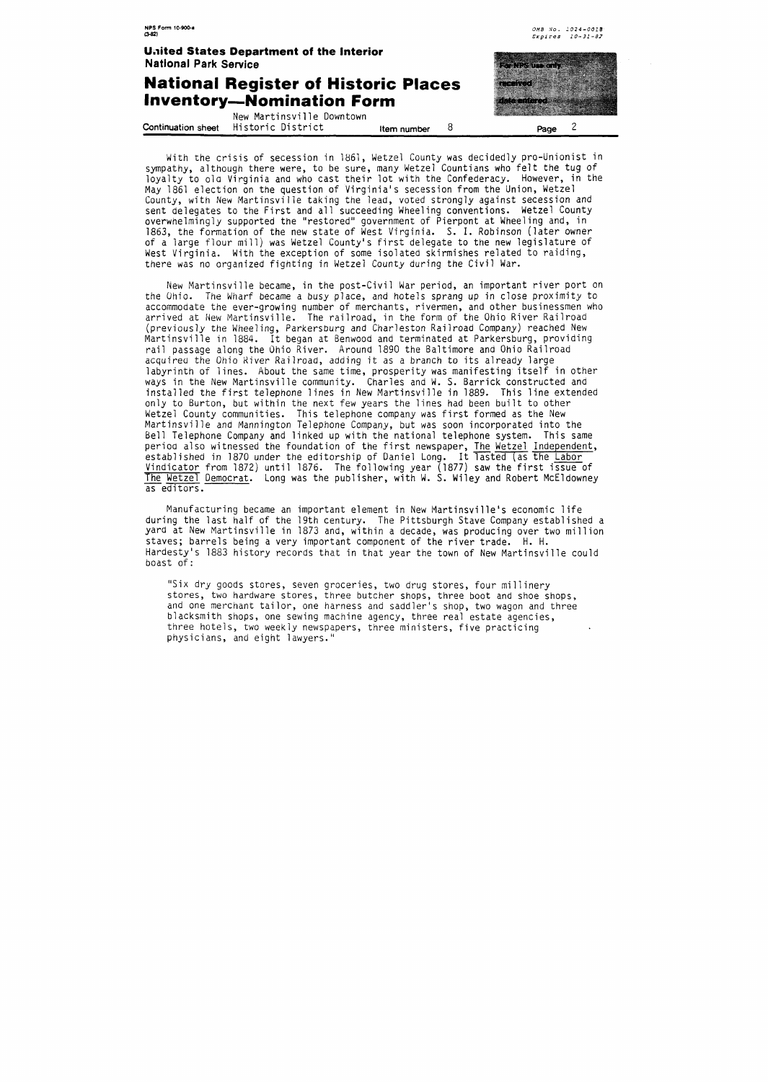#### **National Register of Historic Places Inventory-Nomination Form**

| New Martinsville Downtown                   |             | <u> Tanzania (h. 1888).</u> |
|---------------------------------------------|-------------|-----------------------------|
| <b>Continuation sheet</b> Historic District | Item number | Page                        |

nama menggunak an mara

mar

**OM5 No. 1024-0018**  *Expires* **10-31 -87** 

With the crisis of secession in 1861, Wetzel County was decidedly pro-Unionist in sympathy, although there were, to be sure, many Wetzel Countians who felt the tug of loyalty to ola Virginia and who cast their lot with the Confederacy. However, in the May 1861 election on the question of Virginia's secession from the Union, Wetzel County, with New Martinsville taking the lead, voted strongly against secession and sent delegates to the First and all succeeding Wheeling conventions. Wetzel County overwhelmingly supported the "restored" government of Pierpont at Wheeling and, in 1863, the formation of the new state of West Virginia. S. I. Robinson (later owner of a large flour mill) was Wetzel County's first delegate to the new legislature of West Virginia. With the exception of some isolated skirmishes related to raiding, there was no organized fighting in Wetzel County during the Civil War.

New Martinsville became, in the post-Civil War period, an important river port on the Ohio. The Wharf became a busy place, and hotels sprang up in close proximity to accommodate the ever-growing number of merchants, rivermen, and other businessmen who arrived at New Martinsville. The railroad, in the form of the Ohio River Railroad (previously the Wheeling, Parkersburg and Charleston Railroad Company) reached New<br>Martinsville in 1884. It began at Benwood and terminated at Parkersburg, providing rail passage along the Ohio River. Around 1890 the Baltimore and Ohio Railroad acquired the Ohio Kiver Railroad, adding it as a branch to its already large labyrinth of lines. About the same time, prosperity was manifesting itself in other ways in the New Martinsville community. Charles and W. S. Barrick constructed and installed the first telephone lines in New Martinsville in 1889. This line extended only to Burton, but within the next few years the lines had been built to other Wetzel County communities. This telephone company was first formed as the New Martinsville and Mannington Telephone Company, but was soon incorporated into the Bell Telephone Company and linked up with the national telephone system. This same period also witnessed the foundation of the first newspaper, The Wetzel Independent, established in 1870 under the editorship of Daniel Long. It lasted (as the Labor Vindicator from 1872) until 1876. The following year (1877) saw the first issue of Bell lelephone Company and linked up with the national telephone system. This same<br>period also witnessed the foundation of the first newspaper, <u>The Wetzel Independent</u>,<br>established in 1870 under the editorship of Daniel L as editors.

Manufacturing became an important element in New Martinsville's economic life during the last half of the 19th century. The Pittsburgh Stave Company established a yard at New Martinsville in 1873 and, within a decade, was producing over two million staves; barrels being a very important component of the river trade. H. H. Hardesty's 1883 history records that in that year the town of New Martinsville could boast of :

"Six dry goods stores, seven groceries, two drug stores, four millinery stores, two hardware stores, three butcher shops, three boot and shoe shops, and one merchant tailor, one harness and saddler's shop, two wagon and three blacksmith shops, one sewing machine agency, three real estate agencies, three hotels, two weekly newspapers, three ministers, five practicing physicians, and eight lawyers."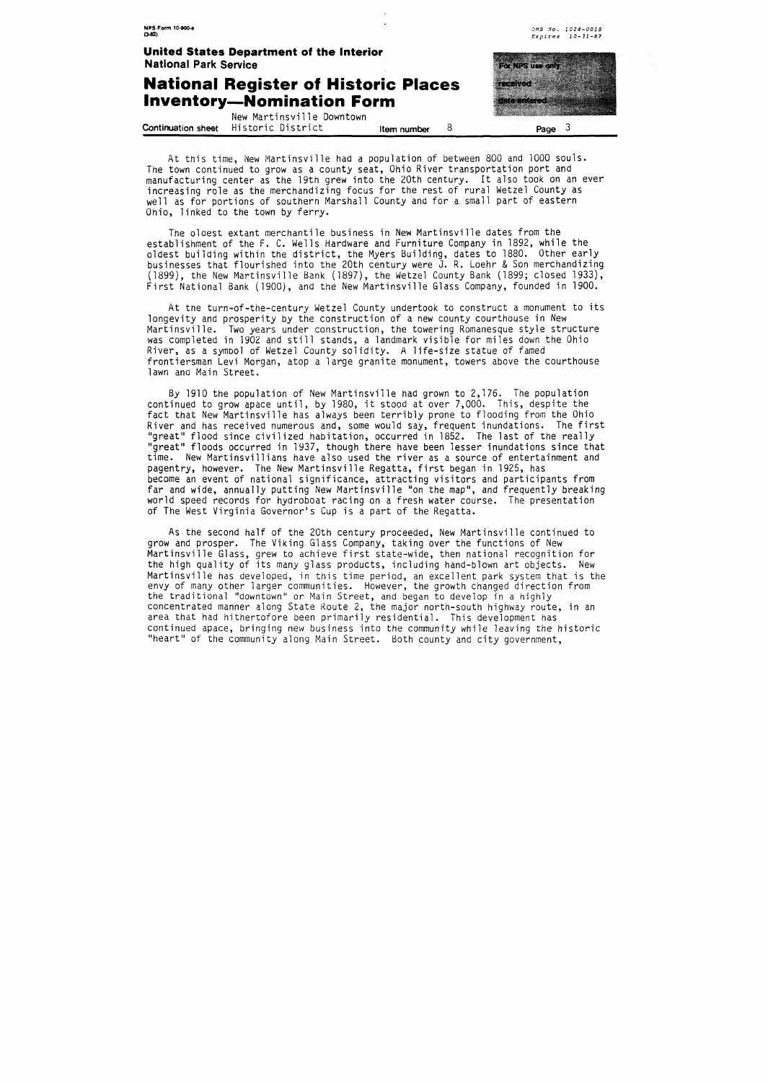![](_page_10_Picture_0.jpeg)

At this time, New Martinsville had a population of between 800 and 1000 souls. The town continued to grow as a county seat, Ohio River transportation port and manufacturing center as the 19th grew into the 20th century. It also took on an ever increasing role as the merchandizing focus for the rest of rural Wetzel County as well as for portions of southern Marshall County and for a small part of eastern Ohio, linked to the town by ferry.

The olaest extant merchantile business in New Martinsville dates from the establishment of the **F.** C. Wells Hardware and Furniture Company in 1892, while the oldest building within the district, the Myers Building, dates to 1880. Other early businesses that flourished into the 20th century were J. R. Loehr & Son merchandizing (1899), the New Martinsville Bank (1897), the Wetzel County Bank (1899; closed 1933), First National Bank (l9OO), and the New Martinsville Glass Company, founded in 1900.

At the turn-of-the-century Wetzel County undertook to construct a monument to its longevity and prosperity by the construction of a new county courthouse in New Martinsville. Two years under construction, the towering Romanesque style structure was completed in 1902 and still stands, a landmark visible for miles down the Ohio River, as a symbol of Wetzel County solidity. A life-size statue of famed frontiersman Levi Morgan, atop a large granite monument, towers above the courthouse lawn and Main Street.

By 1910 the population of New Martinsville had grown to 2,176. The population continued to grow apace until, by 1980, it stood at over 7,000. This, despite the fact that New Martinsville has always been terribly prone to flooding from the Ohio River and has received numerous and, some would say, frequent inundations. The first "great" flood since civilized habitation, occurred in 1852. The last of the really "great" floods occurred in 1937, though there have been lesser inundations since that time. New Martinsvillians have also used the river as a source of entertainment and pagentry, however. The New Martinsville Regatta, first began in 1925, has become an event of national significance, attracting visitors and participants from far and wide, annually putting New Martinsville "on the map", and frequently breaking world speed records for hydroboat racing on a fresh water course. The presentation of The West Virginia Governor's Cup is a part of the Regatta.

As the second half of the 20th century proceeded, New Martinsville continued to grow and prosper. The Viking Glass Company, taking over the functions of New Martinsville Glass, grew to achieve first state-wide, then national recognition for the high quality of its many glass products, including hand-blown art objects. New Martinsville has developed, in this time period, an excellent park system that is the envy of many other larger communities. However, the growth changed direction from the traditional "downtown" or Main Street, and began to develop in a highly concentrated manner along State Koute 2, the major north-south highway route, in an area that had hithertofore been primarily residential. This development has continued apace, bringing new business into the community while leaving the historic "heart" of the community along Main Street. Both county and city government,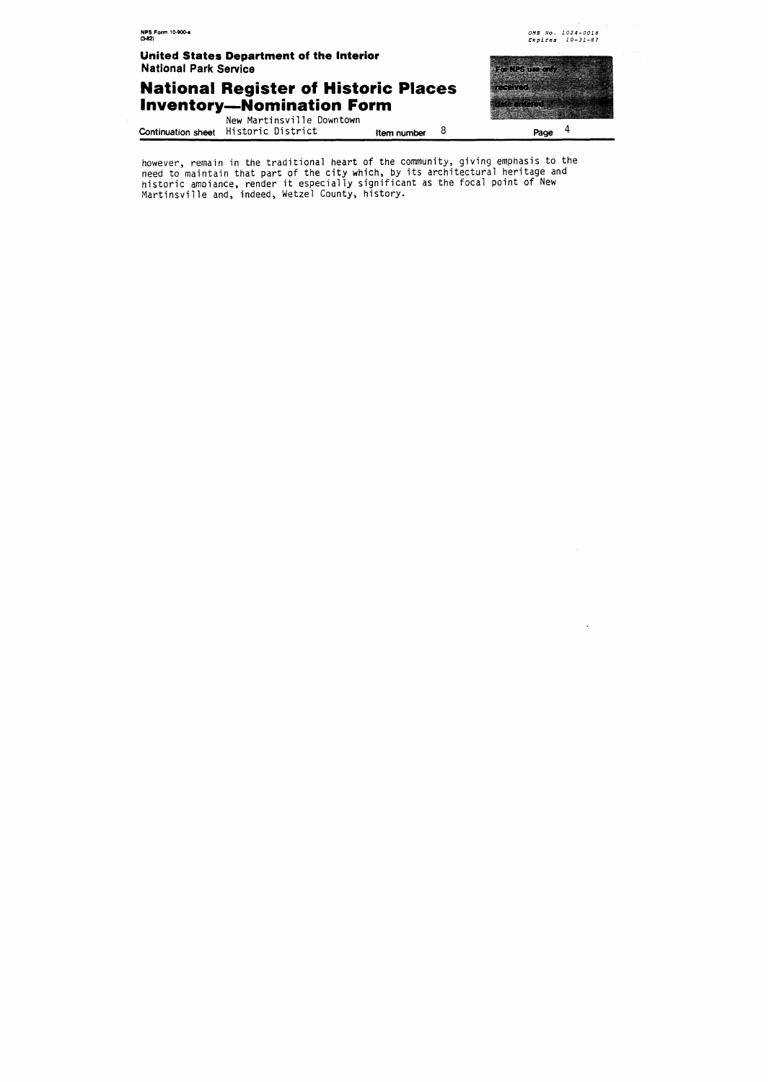## **National Register of Historic Places Inventory-Nomination Form**

<u> Timografia (</u> aanaan waxaa 

New Martinsville Downtown **Continuation sheet** Historic District **Item number** 8 **page** <sup>4</sup>

however, remain in the traditional heart of the community, giving emphasis to the eed to maintain that part of the city which, by its architectural heritage and<br>istoric ambiance, render it especially significant as the focal point of New lartinsville and, indeed, Wetzel County, history.